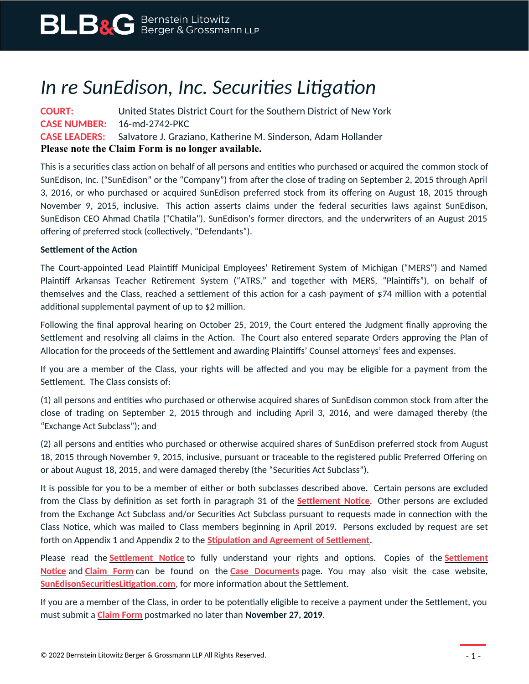# *In re SunEdison, Inc. Securities Litigation*

**COURT:** United States District Court for the Southern District of New York **CASE NUMBER:** 16-md-2742-PKC **CASE LEADERS:** Salvatore J. Graziano, Katherine M. Sinderson, Adam Hollander **Please note the Claim Form is no longer available.**

This is a securities class action on behalf of all persons and entities who purchased or acquired the common stock of SunEdison, Inc. ("SunEdison" or the "Company") from after the close of trading on September 2, 2015 through April 3, 2016, or who purchased or acquired SunEdison preferred stock from its offering on August 18, 2015 through November 9, 2015, inclusive. This action asserts claims under the federal securities laws against SunEdison, SunEdison CEO Ahmad Chatila ("Chatila"), SunEdison's former directors, and the underwriters of an August 2015 offering of preferred stock (collectively, "Defendants").

### **Settlement of the Action**

The Court-appointed Lead Plaintiff Municipal Employees' Retirement System of Michigan ("MERS") and Named Plaintiff Arkansas Teacher Retirement System ("ATRS," and together with MERS, "Plaintiffs"), on behalf of themselves and the Class, reached a settlement of this action for a cash payment of \$74 million with a potential additional supplemental payment of up to \$2 million.

Following the final approval hearing on October 25, 2019, the Court entered the Judgment finally approving the Settlement and resolving all claims in the Action. The Court also entered separate Orders approving the Plan of Allocation for the proceeds of the Settlement and awarding Plaintiffs' Counsel attorneys' fees and expenses.

If you are a member of the Class, your rights will be affected and you may be eligible for a payment from the Settlement. The Class consists of:

(1) all persons and entities who purchased or otherwise acquired shares of SunEdison common stock from after the close of trading on September 2, 2015 through and including April 3, 2016, and were damaged thereby (the "Exchange Act Subclass"); and

(2) all persons and entities who purchased or otherwise acquired shares of SunEdison preferred stock from August 18, 2015 through November 9, 2015, inclusive, pursuant or traceable to the registered public Preferred Offering on or about August 18, 2015, and were damaged thereby (the "Securities Act Subclass").

It is possible for you to be a member of either or both subclasses described above. Certain persons are excluded from the Class by definition as set forth in paragraph 31 of the **[Settlement Notice](https://www.blbglaw.com/cases/sunedison/_res/id=Attachments/index=0/SunEdison%20-%20Settlement%20Notice.pdf)**. Other persons are excluded from the Exchange Act Subclass and/or Securities Act Subclass pursuant to requests made in connection with the Class Notice, which was mailed to Class members beginning in April 2019. Persons excluded by request are set forth on Appendix 1 and Appendix 2 to the **[Stipulation and Agreement of Settlement](https://www.blbglaw.com/cases/sunedison/_res/id=Attachments/index=5/2019-07-11%20Stipulation%20of%20Settlement%20Dkt%20316-1.pdf)**.

Please read the **[Settlement Notice](https://www.blbglaw.com/cases/sunedison/_res/id=Attachments/index=0/SunEdison%20-%20Settlement%20Notice.pdf)** to fully understand your rights and options. Copies of the **[Settlement](https://www.blbglaw.com/cases/sunedison/_res/id=Attachments/index=0/SunEdison%20-%20Settlement%20Notice.pdf) [Notice](https://www.blbglaw.com/cases/sunedison/_res/id=Attachments/index=0/SunEdison%20-%20Settlement%20Notice.pdf)** and **[Claim Form](https://www.blbglaw.com/cases/sunedison/_res/id=Attachments/index=1/SunEdison%20-%20Claim%20Form.pdf)** can be found on the **[Case Documents](https://www.blbglaw.com/cases/sunedison?viewDocs=1)** page. You may also visit the case website, **[SunEdisonSecuritiesLitigation.com](https://sunedisonsecuritieslitigation.com/)**, for more information about the Settlement.

If you are a member of the Class, in order to be potentially eligible to receive a payment under the Settlement, you must submit a **[Claim Form](https://www.blbglaw.com/cases/sunedison/_res/id=Attachments/index=1/SunEdison%20-%20Claim%20Form.pdf)** postmarked no later than **November 27, 2019**.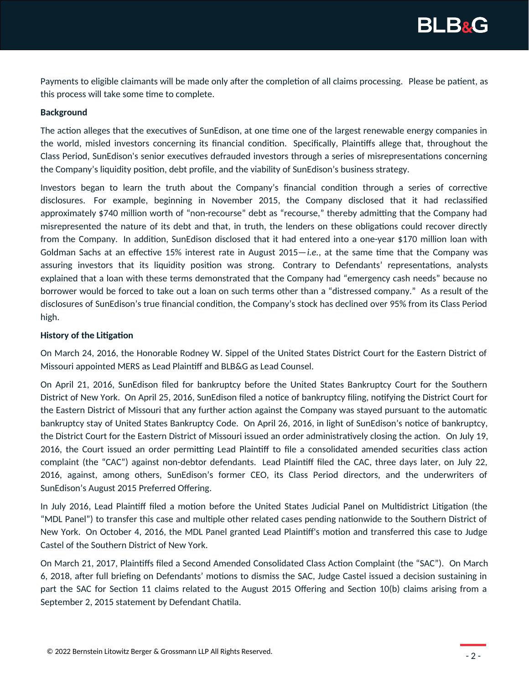

Payments to eligible claimants will be made only after the completion of all claims processing. Please be patient, as this process will take some time to complete.

#### **Background**

The action alleges that the executives of SunEdison, at one time one of the largest renewable energy companies in the world, misled investors concerning its financial condition. Specifically, Plaintiffs allege that, throughout the Class Period, SunEdison's senior executives defrauded investors through a series of misrepresentations concerning the Company's liquidity position, debt profile, and the viability of SunEdison's business strategy.

Investors began to learn the truth about the Company's financial condition through a series of corrective disclosures. For example, beginning in November 2015, the Company disclosed that it had reclassified approximately \$740 million worth of "non-recourse" debt as "recourse," thereby admitting that the Company had misrepresented the nature of its debt and that, in truth, the lenders on these obligations could recover directly from the Company. In addition, SunEdison disclosed that it had entered into a one-year \$170 million loan with Goldman Sachs at an effective 15% interest rate in August 2015—*i.e.*, at the same time that the Company was assuring investors that its liquidity position was strong. Contrary to Defendants' representations, analysts explained that a loan with these terms demonstrated that the Company had "emergency cash needs" because no borrower would be forced to take out a loan on such terms other than a "distressed company." As a result of the disclosures of SunEdison's true financial condition, the Company's stock has declined over 95% from its Class Period high.

#### **History of the Litigation**

On March 24, 2016, the Honorable Rodney W. Sippel of the United States District Court for the Eastern District of Missouri appointed MERS as Lead Plaintiff and BLB&G as Lead Counsel.

On April 21, 2016, SunEdison filed for bankruptcy before the United States Bankruptcy Court for the Southern District of New York. On April 25, 2016, SunEdison filed a notice of bankruptcy filing, notifying the District Court for the Eastern District of Missouri that any further action against the Company was stayed pursuant to the automatic bankruptcy stay of United States Bankruptcy Code. On April 26, 2016, in light of SunEdison's notice of bankruptcy, the District Court for the Eastern District of Missouri issued an order administratively closing the action. On July 19, 2016, the Court issued an order permitting Lead Plaintiff to file a consolidated amended securities class action complaint (the "CAC") against non-debtor defendants. Lead Plaintiff filed the CAC, three days later, on July 22, 2016, against, among others, SunEdison's former CEO, its Class Period directors, and the underwriters of SunEdison's August 2015 Preferred Offering.

In July 2016, Lead Plaintiff filed a motion before the United States Judicial Panel on Multidistrict Litigation (the "MDL Panel") to transfer this case and multiple other related cases pending nationwide to the Southern District of New York. On October 4, 2016, the MDL Panel granted Lead Plaintiff's motion and transferred this case to Judge Castel of the Southern District of New York.

On March 21, 2017, Plaintiffs filed a Second Amended Consolidated Class Action Complaint (the "SAC"). On March 6, 2018, after full briefing on Defendants' motions to dismiss the SAC, Judge Castel issued a decision sustaining in part the SAC for Section 11 claims related to the August 2015 Offering and Section 10(b) claims arising from a September 2, 2015 statement by Defendant Chatila.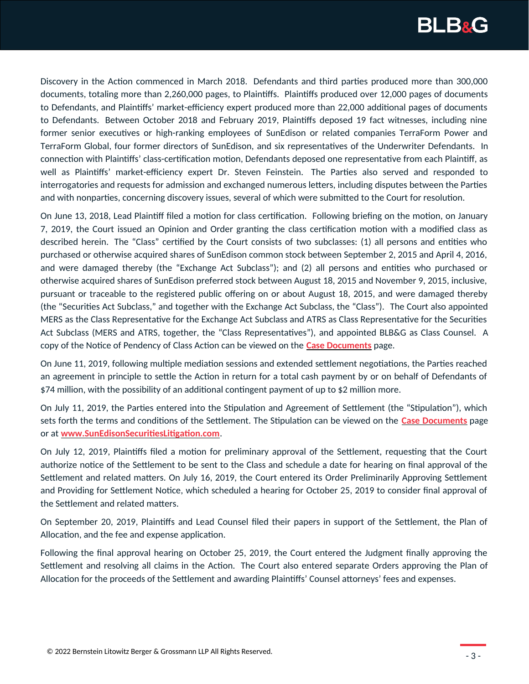

Discovery in the Action commenced in March 2018. Defendants and third parties produced more than 300,000 documents, totaling more than 2,260,000 pages, to Plaintiffs. Plaintiffs produced over 12,000 pages of documents to Defendants, and Plaintiffs' market-efficiency expert produced more than 22,000 additional pages of documents to Defendants. Between October 2018 and February 2019, Plaintiffs deposed 19 fact witnesses, including nine former senior executives or high-ranking employees of SunEdison or related companies TerraForm Power and TerraForm Global, four former directors of SunEdison, and six representatives of the Underwriter Defendants. In connection with Plaintiffs' class-certification motion, Defendants deposed one representative from each Plaintiff, as well as Plaintiffs' market-efficiency expert Dr. Steven Feinstein. The Parties also served and responded to interrogatories and requests for admission and exchanged numerous letters, including disputes between the Parties and with nonparties, concerning discovery issues, several of which were submitted to the Court for resolution.

On June 13, 2018, Lead Plaintiff filed a motion for class certification. Following briefing on the motion, on January 7, 2019, the Court issued an Opinion and Order granting the class certification motion with a modified class as described herein. The "Class" certified by the Court consists of two subclasses: (1) all persons and entities who purchased or otherwise acquired shares of SunEdison common stock between September 2, 2015 and April 4, 2016, and were damaged thereby (the "Exchange Act Subclass"); and (2) all persons and entities who purchased or otherwise acquired shares of SunEdison preferred stock between August 18, 2015 and November 9, 2015, inclusive, pursuant or traceable to the registered public offering on or about August 18, 2015, and were damaged thereby (the "Securities Act Subclass," and together with the Exchange Act Subclass, the "Class"). The Court also appointed MERS as the Class Representative for the Exchange Act Subclass and ATRS as Class Representative for the Securities Act Subclass (MERS and ATRS, together, the "Class Representatives"), and appointed BLB&G as Class Counsel. A copy of the Notice of Pendency of Class Action can be viewed on the **[Case Documents](https://www.blbglaw.com/cases/sunedison?viewDocs=1)** page.

On June 11, 2019, following multiple mediation sessions and extended settlement negotiations, the Parties reached an agreement in principle to settle the Action in return for a total cash payment by or on behalf of Defendants of \$74 million, with the possibility of an additional contingent payment of up to \$2 million more.

On July 11, 2019, the Parties entered into the Stipulation and Agreement of Settlement (the "Stipulation"), which sets forth the terms and conditions of the Settlement. The Stipulation can be viewed on the **[Case Documents](https://www.blbglaw.com/cases/sunedison?viewDocs=1)** page or at **[www.SunEdisonSecuritiesLitigation.com](https://sunedisonsecuritieslitigation.com/)**.

On July 12, 2019, Plaintiffs filed a motion for preliminary approval of the Settlement, requesting that the Court authorize notice of the Settlement to be sent to the Class and schedule a date for hearing on final approval of the Settlement and related matters. On July 16, 2019, the Court entered its Order Preliminarily Approving Settlement and Providing for Settlement Notice, which scheduled a hearing for October 25, 2019 to consider final approval of the Settlement and related matters.

On September 20, 2019, Plaintiffs and Lead Counsel filed their papers in support of the Settlement, the Plan of Allocation, and the fee and expense application.

Following the final approval hearing on October 25, 2019, the Court entered the Judgment finally approving the Settlement and resolving all claims in the Action. The Court also entered separate Orders approving the Plan of Allocation for the proceeds of the Settlement and awarding Plaintiffs' Counsel attorneys' fees and expenses.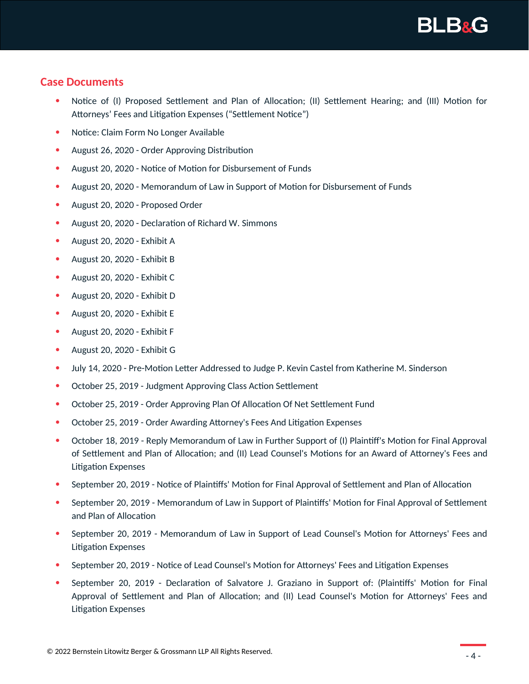## **Case Documents**

- Notice of (I) Proposed Settlement and Plan of Allocation; (II) Settlement Hearing; and (III) Motion for Attorneys' Fees and Litigation Expenses ("Settlement Notice")
- Notice: Claim Form No Longer Available
- August 26, 2020 Order Approving Distribution
- August 20, 2020 Notice of Motion for Disbursement of Funds
- August 20, 2020 Memorandum of Law in Support of Motion for Disbursement of Funds
- August 20, 2020 Proposed Order
- August 20, 2020 Declaration of Richard W. Simmons
- August 20, 2020 Exhibit A
- August 20, 2020 Exhibit B
- August 20, 2020 Exhibit C
- August 20, 2020 Exhibit D
- August 20, 2020 Exhibit E
- August 20, 2020 Exhibit F
- August 20, 2020 Exhibit G
- July 14, 2020 Pre-Motion Letter Addressed to Judge P. Kevin Castel from Katherine M. Sinderson
- October 25, 2019 Judgment Approving Class Action Settlement
- October 25, 2019 Order Approving Plan Of Allocation Of Net Settlement Fund
- October 25, 2019 Order Awarding Attorney's Fees And Litigation Expenses
- October 18, 2019 Reply Memorandum of Law in Further Support of (I) Plaintiff's Motion for Final Approval of Settlement and Plan of Allocation; and (II) Lead Counsel's Motions for an Award of Attorney's Fees and Litigation Expenses
- September 20, 2019 Notice of Plaintiffs' Motion for Final Approval of Settlement and Plan of Allocation
- September 20, 2019 Memorandum of Law in Support of Plaintiffs' Motion for Final Approval of Settlement and Plan of Allocation
- September 20, 2019 Memorandum of Law in Support of Lead Counsel's Motion for Attorneys' Fees and Litigation Expenses
- September 20, 2019 Notice of Lead Counsel's Motion for Attorneys' Fees and Litigation Expenses
- September 20, 2019 Declaration of Salvatore J. Graziano in Support of: (Plaintiffs' Motion for Final Approval of Settlement and Plan of Allocation; and (II) Lead Counsel's Motion for Attorneys' Fees and Litigation Expenses